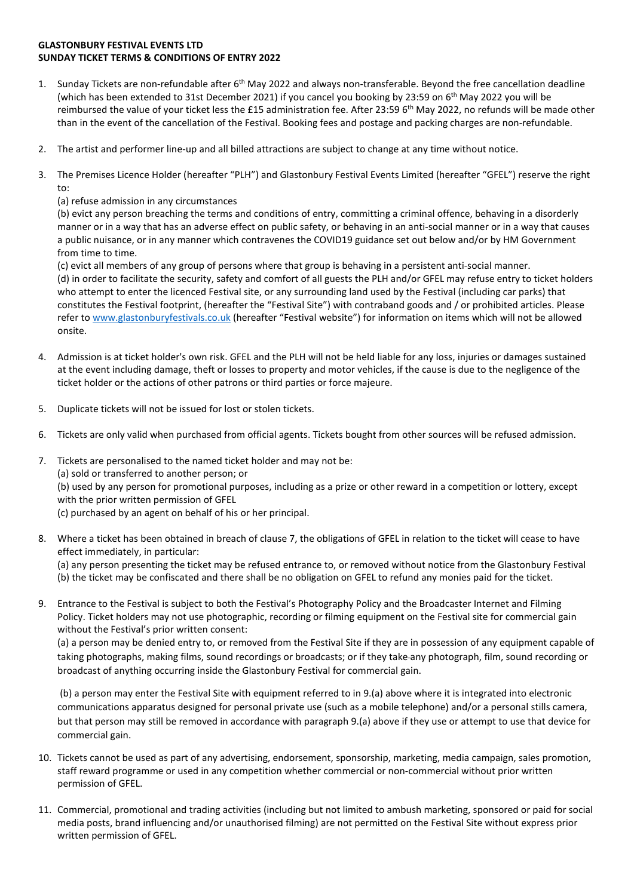## **GLASTONBURY FESTIVAL EVENTS LTD SUNDAY TICKET TERMS & CONDITIONS OF ENTRY 2022**

- 1. Sunday Tickets are non-refundable after 6<sup>th</sup> May 2022 and always non-transferable. Beyond the free cancellation deadline (which has been extended to 31st December 2021) if you cancel you booking by 23:59 on  $6<sup>th</sup>$  May 2022 you will be reimbursed the value of your ticket less the £15 administration fee. After 23:59 6<sup>th</sup> May 2022, no refunds will be made other than in the event of the cancellation of the Festival. Booking fees and postage and packing charges are non-refundable.
- 2. The artist and performer line-up and all billed attractions are subject to change at any time without notice.
- 3. The Premises Licence Holder (hereafter "PLH") and Glastonbury Festival Events Limited (hereafter "GFEL") reserve the right to:
	- (a) refuse admission in any circumstances

(b) evict any person breaching the terms and conditions of entry, committing a criminal offence, behaving in a disorderly manner or in a way that has an adverse effect on public safety, or behaving in an anti-social manner or in a way that causes a public nuisance, or in any manner which contravenes the COVID19 guidance set out below and/or by HM Government from time to time.

(c) evict all members of any group of persons where that group is behaving in a persistent anti-social manner. (d) in order to facilitate the security, safety and comfort of all guests the PLH and/or GFEL may refuse entry to ticket holders who attempt to enter the licenced Festival site, or any surrounding land used by the Festival (including car parks) that constitutes the Festival footprint, (hereafter the "Festival Site") with contraband goods and / or prohibited articles. Please refer to [www.glastonburyfestivals.co.uk](http://www.glastonburyfestivals.co.uk/) (hereafter "Festival website") for information on items which will not be allowed onsite.

- 4. Admission is at ticket holder's own risk. GFEL and the PLH will not be held liable for any loss, injuries or damages sustained at the event including damage, theft or losses to property and motor vehicles, if the cause is due to the negligence of the ticket holder or the actions of other patrons or third parties or force majeure.
- 5. Duplicate tickets will not be issued for lost or stolen tickets.
- 6. Tickets are only valid when purchased from official agents. Tickets bought from other sources will be refused admission.
- 7. Tickets are personalised to the named ticket holder and may not be: (a) sold or transferred to another person; or (b) used by any person for promotional purposes, including as a prize or other reward in a competition or lottery, except with the prior written permission of GFEL (c) purchased by an agent on behalf of his or her principal.
- 8. Where a ticket has been obtained in breach of clause 7, the obligations of GFEL in relation to the ticket will cease to have effect immediately, in particular:

(a) any person presenting the ticket may be refused entrance to, or removed without notice from the Glastonbury Festival (b) the ticket may be confiscated and there shall be no obligation on GFEL to refund any monies paid for the ticket.

9. Entrance to the Festival is subject to both the Festival's Photography Policy and the Broadcaster Internet and Filming Policy. Ticket holders may not use photographic, recording or filming equipment on the Festival site for commercial gain without the Festival's prior written consent:

(a) a person may be denied entry to, or removed from the Festival Site if they are in possession of any equipment capable of taking photographs, making films, sound recordings or broadcasts; or if they take any photograph, film, sound recording or broadcast of anything occurring inside the Glastonbury Festival for commercial gain.

(b) a person may enter the Festival Site with equipment referred to in 9.(a) above where it is integrated into electronic communications apparatus designed for personal private use (such as a mobile telephone) and/or a personal stills camera, but that person may still be removed in accordance with paragraph 9.(a) above if they use or attempt to use that device for commercial gain.

- 10. Tickets cannot be used as part of any advertising, endorsement, sponsorship, marketing, media campaign, sales promotion, staff reward programme or used in any competition whether commercial or non-commercial without prior written permission of GFEL.
- 11. Commercial, promotional and trading activities (including but not limited to ambush marketing, sponsored or paid for social media posts, brand influencing and/or unauthorised filming) are not permitted on the Festival Site without express prior written permission of GFEL.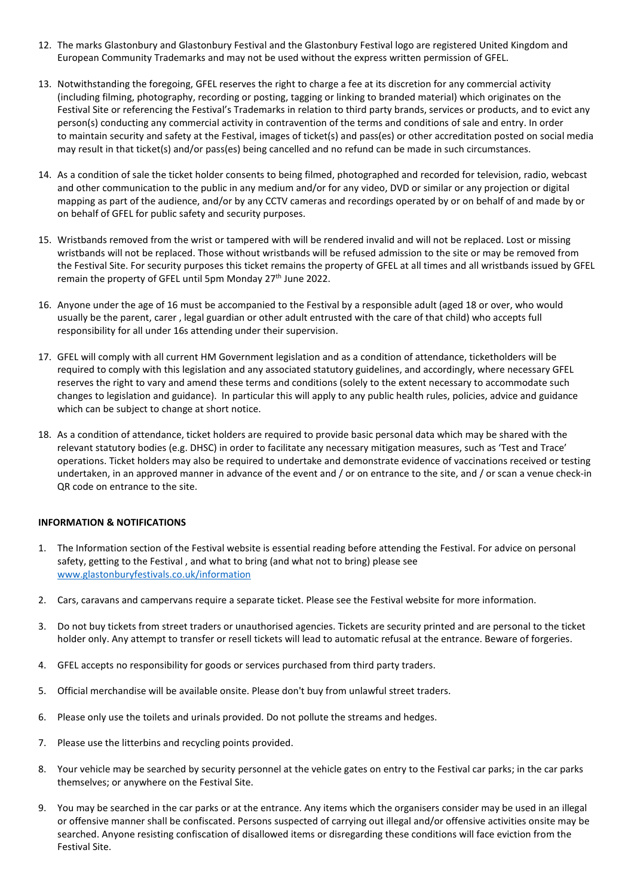- 12. The marks Glastonbury and Glastonbury Festival and the Glastonbury Festival logo are registered United Kingdom and European Community Trademarks and may not be used without the express written permission of GFEL.
- 13. Notwithstanding the foregoing, GFEL reserves the right to charge a fee at its discretion for any commercial activity (including filming, photography, recording or posting, tagging or linking to branded material) which originates on the Festival Site or referencing the Festival's Trademarks in relation to third party brands, services or products, and to evict any person(s) conducting any commercial activity in contravention of the terms and conditions of sale and entry. In order to maintain security and safety at the Festival, images of ticket(s) and pass(es) or other accreditation posted on social media may result in that ticket(s) and/or pass(es) being cancelled and no refund can be made in such circumstances.
- 14. As a condition of sale the ticket holder consents to being filmed, photographed and recorded for television, radio, webcast and other communication to the public in any medium and/or for any video, DVD or similar or any projection or digital mapping as part of the audience, and/or by any CCTV cameras and recordings operated by or on behalf of and made by or on behalf of GFEL for public safety and security purposes.
- 15. Wristbands removed from the wrist or tampered with will be rendered invalid and will not be replaced. Lost or missing wristbands will not be replaced. Those without wristbands will be refused admission to the site or may be removed from the Festival Site. For security purposes this ticket remains the property of GFEL at all times and all wristbands issued by GFEL remain the property of GFEL until 5pm Monday 27<sup>th</sup> June 2022.
- 16. Anyone under the age of 16 must be accompanied to the Festival by a responsible adult (aged 18 or over, who would usually be the parent, carer , legal guardian or other adult entrusted with the care of that child) who accepts full responsibility for all under 16s attending under their supervision.
- 17. GFEL will comply with all current HM Government legislation and as a condition of attendance, ticketholders will be required to comply with this legislation and any associated statutory guidelines, and accordingly, where necessary GFEL reserves the right to vary and amend these terms and conditions (solely to the extent necessary to accommodate such changes to legislation and guidance). In particular this will apply to any public health rules, policies, advice and guidance which can be subject to change at short notice.
- 18. As a condition of attendance, ticket holders are required to provide basic personal data which may be shared with the relevant statutory bodies (e.g. DHSC) in order to facilitate any necessary mitigation measures, such as 'Test and Trace' operations. Ticket holders may also be required to undertake and demonstrate evidence of vaccinations received or testing undertaken, in an approved manner in advance of the event and / or on entrance to the site, and / or scan a venue check-in QR code on entrance to the site.

## **INFORMATION & NOTIFICATIONS**

- 1. The Information section of the Festival website is essential reading before attending the Festival. For advice on personal safety, getting to the Festival , and what to bring (and what not to bring) please see [www.glastonburyfestivals.co.uk/information](http://www.glastonburyfestivals.co.uk/information)
- 2. Cars, caravans and campervans require a separate ticket. Please see the Festival website for more information.
- 3. Do not buy tickets from street traders or unauthorised agencies. Tickets are security printed and are personal to the ticket holder only. Any attempt to transfer or resell tickets will lead to automatic refusal at the entrance. Beware of forgeries.
- 4. GFEL accepts no responsibility for goods or services purchased from third party traders.
- 5. Official merchandise will be available onsite. Please don't buy from unlawful street traders.
- 6. Please only use the toilets and urinals provided. Do not pollute the streams and hedges.
- 7. Please use the litterbins and recycling points provided.
- 8. Your vehicle may be searched by security personnel at the vehicle gates on entry to the Festival car parks; in the car parks themselves; or anywhere on the Festival Site.
- 9. You may be searched in the car parks or at the entrance. Any items which the organisers consider may be used in an illegal or offensive manner shall be confiscated. Persons suspected of carrying out illegal and/or offensive activities onsite may be searched. Anyone resisting confiscation of disallowed items or disregarding these conditions will face eviction from the Festival Site.